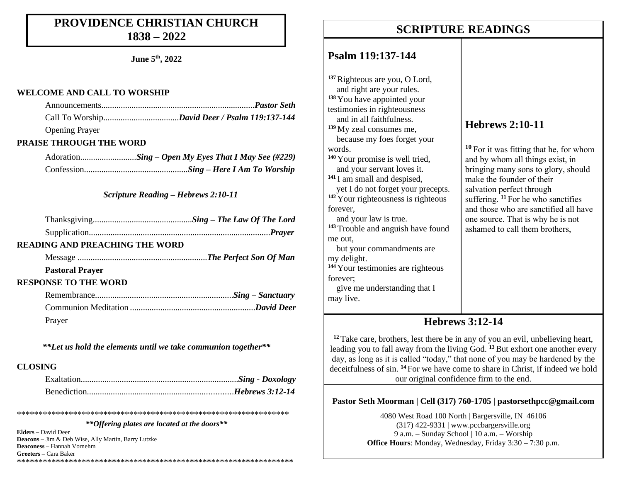### **PROVIDENCE CHRISTIAN CHURCH 1838 – 2022**

**June 5 th, 2022**

#### **WELCOME AND CALL TO WORSHIP**

| <b>Opening Prayer</b>   |                                                    |
|-------------------------|----------------------------------------------------|
| PRAISE THROUGH THE WORD |                                                    |
|                         | AdorationSing – Open My Eyes That I May See (#229) |
|                         |                                                    |

#### *Scripture Reading – Hebrews 2:10-11*

| <b>READING AND PREACHING THE WORD</b> |  |
|---------------------------------------|--|
|                                       |  |
| <b>Pastoral Prayer</b>                |  |
| <b>RESPONSE TO THE WORD</b>           |  |
|                                       |  |
|                                       |  |
| Prayer                                |  |
|                                       |  |

*\*\*Let us hold the elements until we take communion together\*\**

### **CLOSING**

\*\*\*\*\*\*\*\*\*\*\*\*\*\*\*\*\*\*\*\*\*\*\*\*\*\*\*\*\*\*\*\*\*\*\*\*\*\*\*\*\*\*\*\*\*\*\*\*\*\*\*\*\*\*\*\*\*\*\*\*\*\*\*

*\*\*Offering plates are located at the doors\*\**

**Elders –** David Deer **Deacons –** Jim & Deb Wise, Ally Martin, Barry Lutzke **Deaconess –** Hannah Vornehm **Greeters –** Cara Baker \*\*\*\*\*\*\*\*\*\*\*\*\*\*\*\*\*\*\*\*\*\*\*\*\*\*\*\*\*\*\*\*\*\*\*\*\*\*\*\*\*\*\*\*\*\*\*\*\*\*\*\*\*\*\*\*\*\*\*\*\*\*\*\*

## **SCRIPTURE READINGS SCRIPTURE READINGS**

### **Psalm 119:137-144**

**<sup>137</sup>**Righteous are you, O Lord, and right are your rules. **<sup>138</sup>** You have appointed your testimonies in righteousness and in all faithfulness. **<sup>139</sup>** My zeal consumes me, because my foes forget your words. **<sup>140</sup>** Your promise is well tried, and your servant loves it. **<sup>141</sup>** I am small and despised, yet I do not forget your precepts. **<sup>142</sup>** Your righteousness is righteous forever, and your law is true. **<sup>143</sup>** Trouble and anguish have found me out, but your commandments are my delight. **<sup>144</sup>** Your testimonies are righteous forever; give me understanding that I may live.

## **Hebrews 2:10-11**

**<sup>10</sup>** For it was fitting that he, for whom and by whom all things exist, in bringing many sons to glory, should make the founder of their salvation perfect through suffering. <sup>11</sup> For he who sanctifies and those who are sanctified all have one source. That is why he is not ashamed to call them brothers,

### **Hebrews 3:12-14**

**<sup>12</sup>** Take care, brothers, lest there be in any of you an evil, unbelieving heart, leading you to fall away from the living God. **<sup>13</sup>**But exhort one another every day, as long as it is called "today," that none of you may be hardened by the deceitfulness of sin. **<sup>14</sup>** For we have come to share in Christ, if indeed we hold our original confidence firm to the end.

#### **Pastor Seth Moorman | Cell (317) 760-1705 | pastorsethpcc@gmail.com**

4080 West Road 100 North | Bargersville, IN 46106 (317) 422-9331 | www.pccbargersville.org 9 a.m. – Sunday School | 10 a.m. – Worship **Office Hours**: Monday, Wednesday, Friday 3:30 – 7:30 p.m.